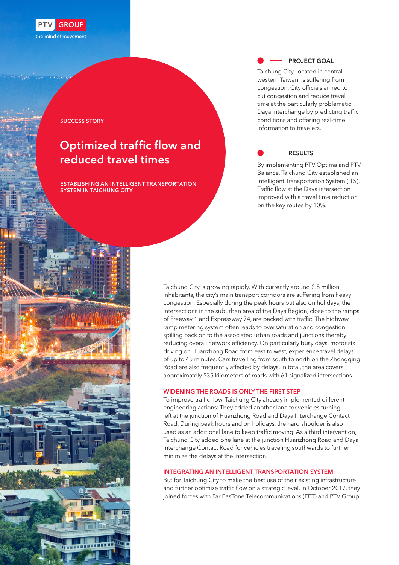

SUCCESS STORY

# Optimized traffic flow and reduced travel times

ESTABLISHING AN INTELLIGENT TRANSPORTATION SYSTEM IN TAICHUNG CITY

### PROJECT GOAL

Taichung City, located in centralwestern Taiwan, is suffering from congestion. City officials aimed to cut congestion and reduce travel time at the particularly problematic Daya interchange by predicting traffic conditions and offering real-time information to travelers.



By implementing PTV Optima and PTV Balance, Taichung City established an Intelligent Transportation System (ITS). Traffic flow at the Daya intersection improved with a travel time reduction on the key routes by 10%.

Taichung City is growing rapidly. With currently around 2.8 million inhabitants, the city's main transport corridors are suffering from heavy congestion. Especially during the peak hours but also on holidays, the intersections in the suburban area of the Daya Region, close to the ramps of Freeway 1 and Expressway 74, are packed with traffic. The highway ramp metering system often leads to oversaturation and congestion, spilling back on to the associated urban roads and junctions thereby reducing overall network efficiency. On particularly busy days, motorists driving on Huanzhong Road from east to west, experience travel delays of up to 45 minutes. Cars travelling from south to north on the Zhongqing Road are also frequently affected by delays. In total, the area covers approximately 535 kilometers of roads with 61 signalized intersections.

## WIDENING THE ROADS IS ONLY THE FIRST STEP

To improve traffic flow, Taichung City already implemented different engineering actions: They added another lane for vehicles turning left at the junction of Huanzhong Road and Daya Interchange Contact Road. During peak hours and on holidays, the hard shoulder is also used as an additional lane to keep traffic moving. As a third intervention, Taichung City added one lane at the junction Huanzhong Road and Daya Interchange Contact Road for vehicles traveling southwards to further minimize the delays at the intersection.

#### INTEGRATING AN INTELLIGENT TRANSPORTATION SYSTEM

But for Taichung City to make the best use of their existing infrastructure and further optimize traffic flow on a strategic level, in October 2017, they joined forces with Far EasTone Telecommunications (FET) and PTV Group.